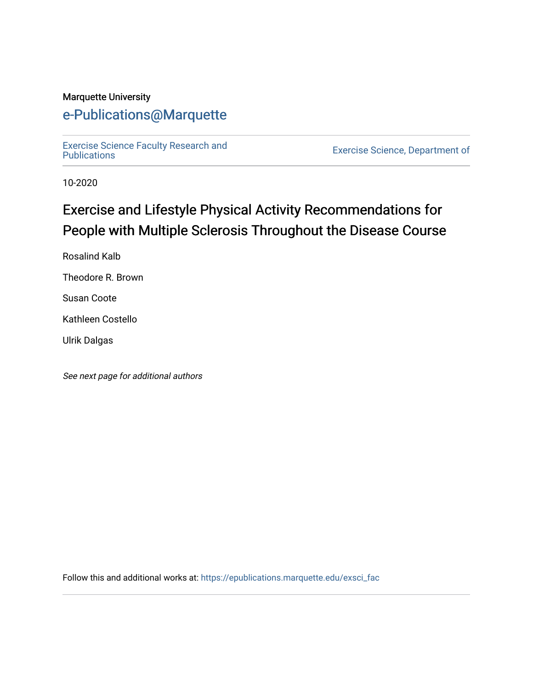# Marquette University

# [e-Publications@Marquette](https://epublications.marquette.edu/)

[Exercise Science Faculty Research and](https://epublications.marquette.edu/exsci_fac)

Exercise Science, Department of

10-2020

# Exercise and Lifestyle Physical Activity Recommendations for People with Multiple Sclerosis Throughout the Disease Course

Rosalind Kalb

Theodore R. Brown

Susan Coote

Kathleen Costello

Ulrik Dalgas

See next page for additional authors

Follow this and additional works at: [https://epublications.marquette.edu/exsci\\_fac](https://epublications.marquette.edu/exsci_fac?utm_source=epublications.marquette.edu%2Fexsci_fac%2F181&utm_medium=PDF&utm_campaign=PDFCoverPages)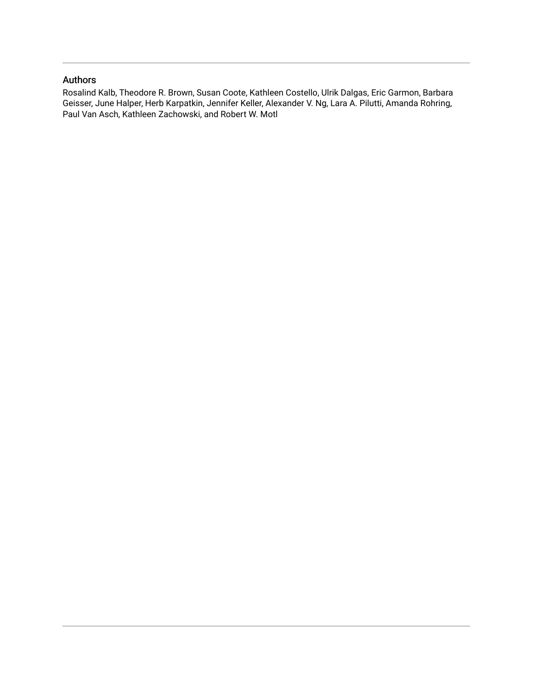# Authors

Rosalind Kalb, Theodore R. Brown, Susan Coote, Kathleen Costello, Ulrik Dalgas, Eric Garmon, Barbara Geisser, June Halper, Herb Karpatkin, Jennifer Keller, Alexander V. Ng, Lara A. Pilutti, Amanda Rohring, Paul Van Asch, Kathleen Zachowski, and Robert W. Motl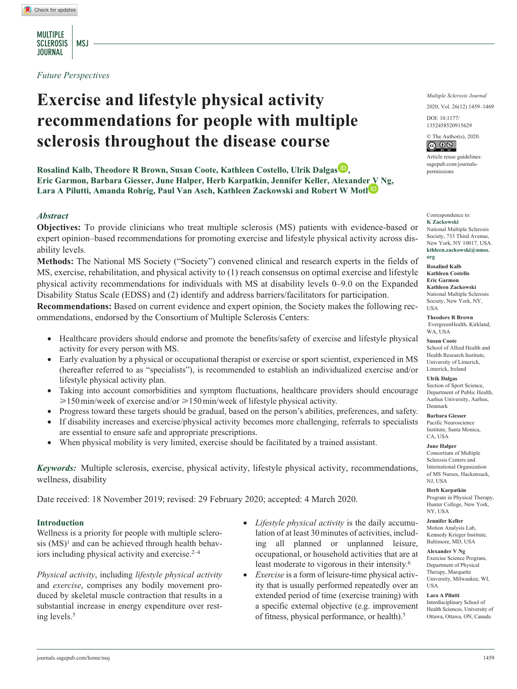MULTIPLE SCLEROSIS | MSJ **JOURNAL** 

*Future Perspectives*

# **Exercise and lifestyle physical activity recommendations for people with multiple sclerosis throughout the disease course**

**Rosalind Kalb, Theodore R Brown, Susan Coote, Kathleen Costello, Ulrik Dalgas , Eric Garmon, Barbara Giesser, June Halper, Herb Karpatkin, Jennifer Keller, Alexander V Ng, Lara A Pilutti, Amanda Rohrig, Paul Van Asch, Kathleen Zackowski and Robert W Motl**

# *Abstract*

**Objectives:** To provide clinicians who treat multiple sclerosis (MS) patients with evidence-based or expert opinion–based recommendations for promoting exercise and lifestyle physical activity across disability levels.

**Methods:** The National MS Society ("Society") convened clinical and research experts in the fields of MS, exercise, rehabilitation, and physical activity to (1) reach consensus on optimal exercise and lifestyle physical activity recommendations for individuals with MS at disability levels 0–9.0 on the Expanded Disability Status Scale (EDSS) and (2) identify and address barriers/facilitators for participation.

**Recommendations:** Based on current evidence and expert opinion, the Society makes the following recommendations, endorsed by the Consortium of Multiple Sclerosis Centers:

- Healthcare providers should endorse and promote the benefits/safety of exercise and lifestyle physical activity for every person with MS.
- Early evaluation by a physical or occupational therapist or exercise or sport scientist, experienced in MS (hereafter referred to as "specialists"), is recommended to establish an individualized exercise and/or lifestyle physical activity plan.
- Taking into account comorbidities and symptom fluctuations, healthcare providers should encourage  $\geq 150$  min/week of exercise and/or  $\geq 150$  min/week of lifestyle physical activity.
- Progress toward these targets should be gradual, based on the person's abilities, preferences, and safety.
- If disability increases and exercise/physical activity becomes more challenging, referrals to specialists are essential to ensure safe and appropriate prescriptions.
- When physical mobility is very limited, exercise should be facilitated by a trained assistant.

*Keywords:* Multiple sclerosis, exercise, physical activity, lifestyle physical activity, recommendations, wellness, disability

Date received: 18 November 2019; revised: 29 February 2020; accepted: 4 March 2020.

## **Introduction**

Wellness is a priority for people with multiple sclerosis  $(MS)^1$  and can be achieved through health behaviors including physical activity and exercise. $2-4$ 

*Physical activity*, including *lifestyle physical activity* and *exercise*, comprises any bodily movement produced by skeletal muscle contraction that results in a substantial increase in energy expenditure over resting levels.5

- *Lifestyle physical activity* is the daily accumulation of at least 30minutes of activities, including all planned or unplanned leisure, occupational, or household activities that are at least moderate to vigorous in their intensity.6
- *Exercise* is a form of leisure-time physical activity that is usually performed repeatedly over an extended period of time (exercise training) with a specific external objective (e.g. improvement of fitness, physical performance, or health).5

*Multiple Sclerosis Journal*

2020, Vol. 26(12) 1459–1469

DOI: 10.1177/ https://doi.org/10.1177/1352458520915629 1352458520915629

 $\circledcirc$  The Author(s), 2020.

Article reuse guidelines: [sagepub.com/journals](https://uk.sagepub.com/en-gb/journals-permissions)[permissions](https://uk.sagepub.com/en-gb/journals-permissions)

#### Correspondence to: **K Zackowski**

National Multiple Sclerosis Society, 733 Third Avenue, New York, NY 10017, USA. **[kthleen.zackowski@nmss.](mailto:kthleen.zackowski@nmss.org) [org](mailto:kthleen.zackowski@nmss.org)**

**Rosalind Kalb Kathleen Costello Eric Garmon Kathleen Zackowski** National Multiple Sclerosis Society, New York, NY, USA

**Theodore R Brown** EvergreenHealth, Kirkland, WA, USA

**Susan Coote** School of Allied Health and Health Research Institute, University of Limerick, Limerick, Ireland

**Ulrik Dalgas** Section of Sport Science, Department of Public Health, Aarhus University, Aarhus, Denmark

**Barbara Giesser** Pacific Neuroscience Institute, Santa Monica, CA, USA

**June Halper** Consortium of Multiple Sclerosis Centers and International Organization of MS Nurses, Hackensack,

NJ, USA

**Herb Karpatkin** Program in Physical Therapy, Hunter College, New York, NY, USA

**Jennifer Keller** Motion Analysis Lab, Kennedy Krieger Institute, Baltimore, MD, USA

**Alexander V Ng** Exercise Science Program, Department of Physical Therapy, Marquette University, Milwaukee, WI, USA

#### **Lara A Pilutti**

Interdisciplinary School of Health Sciences, University of Ottawa, Ottawa, ON, Canada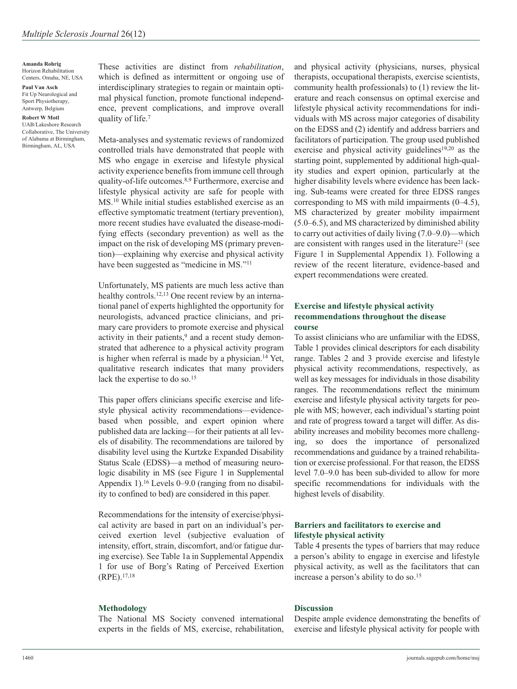#### **Amanda Rohrig** Horizon Rehabilitation Centers, Omaha, NE, USA

**Paul Van Asch** Fit Up Neurological and

Sport Physiotherapy, Antwerp, Belgium **Robert W Motl**

UAB/Lakeshore Research Collaborative, The University of Alabama at Birmingham, Birmingham, AL, USA

These activities are distinct from *rehabilitation*, which is defined as intermittent or ongoing use of interdisciplinary strategies to regain or maintain optimal physical function, promote functional independence, prevent complications, and improve overall quality of life.7

Meta-analyses and systematic reviews of randomized controlled trials have demonstrated that people with MS who engage in exercise and lifestyle physical activity experience benefits from immune cell through quality-of-life outcomes.8,9 Furthermore, exercise and lifestyle physical activity are safe for people with MS.10 While initial studies established exercise as an effective symptomatic treatment (tertiary prevention), more recent studies have evaluated the disease-modifying effects (secondary prevention) as well as the impact on the risk of developing MS (primary prevention)—explaining why exercise and physical activity have been suggested as "medicine in MS."11

Unfortunately, MS patients are much less active than healthy controls.<sup>12,13</sup> One recent review by an international panel of experts highlighted the opportunity for neurologists, advanced practice clinicians, and primary care providers to promote exercise and physical activity in their patients, $9$  and a recent study demonstrated that adherence to a physical activity program is higher when referral is made by a physician.14 Yet, qualitative research indicates that many providers lack the expertise to do so.<sup>15</sup>

This paper offers clinicians specific exercise and lifestyle physical activity recommendations—evidencebased when possible, and expert opinion where published data are lacking—for their patients at all levels of disability. The recommendations are tailored by disability level using the Kurtzke Expanded Disability Status Scale (EDSS)—a method of measuring neurologic disability in MS (see Figure 1 in Supplemental Appendix 1).16 Levels 0–9.0 (ranging from no disability to confined to bed) are considered in this paper.

Recommendations for the intensity of exercise/physical activity are based in part on an individual's perceived exertion level (subjective evaluation of intensity, effort, strain, discomfort, and/or fatigue during exercise). See Table 1a in Supplemental Appendix 1 for use of Borg's Rating of Perceived Exertion (RPE).17,18

# **Methodology**

The National MS Society convened international experts in the fields of MS, exercise, rehabilitation, and physical activity (physicians, nurses, physical therapists, occupational therapists, exercise scientists, community health professionals) to (1) review the literature and reach consensus on optimal exercise and lifestyle physical activity recommendations for individuals with MS across major categories of disability on the EDSS and (2) identify and address barriers and facilitators of participation. The group used published exercise and physical activity guidelines<sup>19,20</sup> as the starting point, supplemented by additional high-quality studies and expert opinion, particularly at the higher disability levels where evidence has been lacking. Sub-teams were created for three EDSS ranges corresponding to MS with mild impairments (0–4.5), MS characterized by greater mobility impairment (5.0–6.5), and MS characterized by diminished ability to carry out activities of daily living (7.0–9.0)—which are consistent with ranges used in the literature<sup>21</sup> (see Figure 1 in Supplemental Appendix 1). Following a review of the recent literature, evidence-based and expert recommendations were created.

# **Exercise and lifestyle physical activity recommendations throughout the disease course**

To assist clinicians who are unfamiliar with the EDSS, Table 1 provides clinical descriptors for each disability range. Tables 2 and 3 provide exercise and lifestyle physical activity recommendations, respectively, as well as key messages for individuals in those disability ranges. The recommendations reflect the minimum exercise and lifestyle physical activity targets for people with MS; however, each individual's starting point and rate of progress toward a target will differ. As disability increases and mobility becomes more challenging, so does the importance of personalized recommendations and guidance by a trained rehabilitation or exercise professional. For that reason, the EDSS level 7.0–9.0 has been sub-divided to allow for more specific recommendations for individuals with the highest levels of disability.

# **Barriers and facilitators to exercise and lifestyle physical activity**

Table 4 presents the types of barriers that may reduce a person's ability to engage in exercise and lifestyle physical activity, as well as the facilitators that can increase a person's ability to do so.15

## **Discussion**

Despite ample evidence demonstrating the benefits of exercise and lifestyle physical activity for people with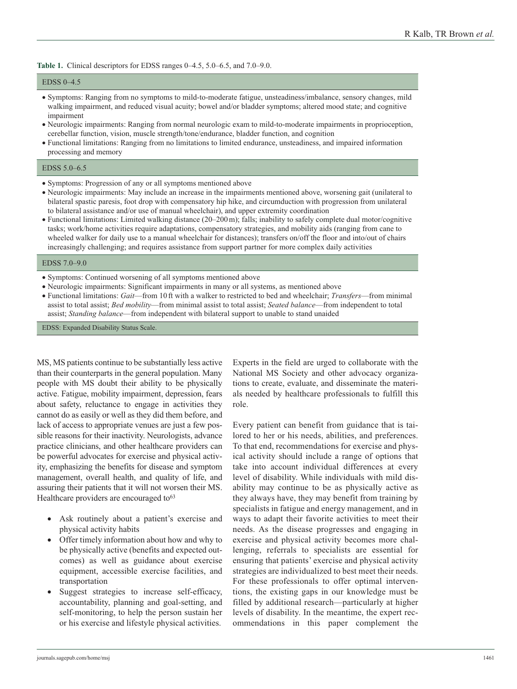**Table 1.** Clinical descriptors for EDSS ranges 0–4.5, 5.0–6.5, and 7.0–9.0.

#### EDSS 0–4.5

- Symptoms: Ranging from no symptoms to mild-to-moderate fatigue, unsteadiness/imbalance, sensory changes, mild walking impairment, and reduced visual acuity; bowel and/or bladder symptoms; altered mood state; and cognitive impairment
- Neurologic impairments: Ranging from normal neurologic exam to mild-to-moderate impairments in proprioception, cerebellar function, vision, muscle strength/tone/endurance, bladder function, and cognition
- Functional limitations: Ranging from no limitations to limited endurance, unsteadiness, and impaired information processing and memory

#### EDSS 5.0–6.5

- Symptoms: Progression of any or all symptoms mentioned above
- Neurologic impairments: May include an increase in the impairments mentioned above, worsening gait (unilateral to bilateral spastic paresis, foot drop with compensatory hip hike, and circumduction with progression from unilateral to bilateral assistance and/or use of manual wheelchair), and upper extremity coordination
- Functional limitations: Limited walking distance (20–200m); falls; inability to safely complete dual motor/cognitive tasks; work/home activities require adaptations, compensatory strategies, and mobility aids (ranging from cane to wheeled walker for daily use to a manual wheelchair for distances); transfers on/off the floor and into/out of chairs increasingly challenging; and requires assistance from support partner for more complex daily activities

#### EDSS 7.0–9.0

- Symptoms: Continued worsening of all symptoms mentioned above
- Neurologic impairments: Significant impairments in many or all systems, as mentioned above
- Functional limitations: *Gait*—from 10 ft with a walker to restricted to bed and wheelchair; *Transfers*—from minimal assist to total assist; *Bed mobility*—from minimal assist to total assist; *Seated balance*—from independent to total assist; *Standing balance*—from independent with bilateral support to unable to stand unaided

EDSS: Expanded Disability Status Scale.

MS, MS patients continue to be substantially less active than their counterparts in the general population. Many people with MS doubt their ability to be physically active. Fatigue, mobility impairment, depression, fears about safety, reluctance to engage in activities they cannot do as easily or well as they did them before, and lack of access to appropriate venues are just a few possible reasons for their inactivity. Neurologists, advance practice clinicians, and other healthcare providers can be powerful advocates for exercise and physical activity, emphasizing the benefits for disease and symptom management, overall health, and quality of life, and assuring their patients that it will not worsen their MS. Healthcare providers are encouraged to<sup>63</sup>

- Ask routinely about a patient's exercise and physical activity habits
- Offer timely information about how and why to be physically active (benefits and expected outcomes) as well as guidance about exercise equipment, accessible exercise facilities, and transportation
- Suggest strategies to increase self-efficacy, accountability, planning and goal-setting, and self-monitoring, to help the person sustain her or his exercise and lifestyle physical activities.

Experts in the field are urged to collaborate with the National MS Society and other advocacy organizations to create, evaluate, and disseminate the materials needed by healthcare professionals to fulfill this role.

Every patient can benefit from guidance that is tailored to her or his needs, abilities, and preferences. To that end, recommendations for exercise and physical activity should include a range of options that take into account individual differences at every level of disability. While individuals with mild disability may continue to be as physically active as they always have, they may benefit from training by specialists in fatigue and energy management, and in ways to adapt their favorite activities to meet their needs. As the disease progresses and engaging in exercise and physical activity becomes more challenging, referrals to specialists are essential for ensuring that patients' exercise and physical activity strategies are individualized to best meet their needs. For these professionals to offer optimal interventions, the existing gaps in our knowledge must be filled by additional research—particularly at higher levels of disability. In the meantime, the expert recommendations in this paper complement the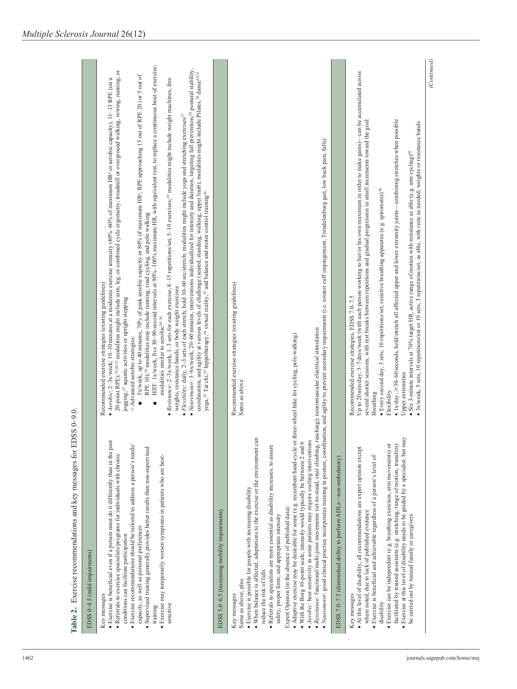| EDSS 0-4.5 (mild impairments)                                                                                                                                                                                                                                                                                                                                                                                                                                                                                                                                                                                                                                                                                                                                                               |                                                                                                                                                                                                                                                                                                                                                                                                                                                                                                                                                                                                                                                                                                                                                                                                                                                                                                                                                                                                                                                                                                                                                                                                                                                                                                                                                                                                                                                                                                                                                                                                                                                                                                                                                                 |
|---------------------------------------------------------------------------------------------------------------------------------------------------------------------------------------------------------------------------------------------------------------------------------------------------------------------------------------------------------------------------------------------------------------------------------------------------------------------------------------------------------------------------------------------------------------------------------------------------------------------------------------------------------------------------------------------------------------------------------------------------------------------------------------------|-----------------------------------------------------------------------------------------------------------------------------------------------------------------------------------------------------------------------------------------------------------------------------------------------------------------------------------------------------------------------------------------------------------------------------------------------------------------------------------------------------------------------------------------------------------------------------------------------------------------------------------------------------------------------------------------------------------------------------------------------------------------------------------------------------------------------------------------------------------------------------------------------------------------------------------------------------------------------------------------------------------------------------------------------------------------------------------------------------------------------------------------------------------------------------------------------------------------------------------------------------------------------------------------------------------------------------------------------------------------------------------------------------------------------------------------------------------------------------------------------------------------------------------------------------------------------------------------------------------------------------------------------------------------------------------------------------------------------------------------------------------------|
| · Exercise is beneficial even if a person must do it differently than in the past<br>· Exercise recommendations should be tailored to address a person's needs/<br>· Supervised training generally provides better results than non-supervised<br>· Referrals to exercise specialists/programs for individuals with chronic<br>· Exercise may temporarily worsen symptoms in patients who are heat-<br>capacity, as well as personal preferences<br>conditions can facilitate participation<br>Key messages<br>sensitive<br>training                                                                                                                                                                                                                                                        | HIIT: 1x/week, five 30-90-second intervals at 90%-100% maximum HR, with equivalent rest, to replace a continuous bout of exercise;<br>• Neuromotor: 3-6x/week, 20-60 minutes, interventions individualized for intensity and duration, targeting fall prevention, <sup>28</sup> postural stability,<br>20-point RPE); <sup>19,20,22</sup> modalities might include arm, leg, or combined cycle ergometry; treadmill or overground walking, rowing, running, or<br>coordination, and agility at various levels of challenge (seated, standing, walking, upper limb); modalities might include Pilates, <sup>29</sup> dance <sup>30,31</sup><br>5x/week, up to 40minutes, 70% of peak aerobic capacity or 80% of maximum HRª, RPE approaching 15 out of RPE 20 (or 5 out of<br>• Aerobic: 2-3x/week; 10-30minutes at a moderate exercise intensity (40%-60% of maximum HRª or aerobic capacity), 11-13 RPE (on a<br>• Resistance: 2-3x/week, 1-3 sets for each exercise, 8-15 repetitions/set, 5-10 exercises; <sup>19</sup> modalities might include weight machines, free<br>• Flexibility: daily, 2-3 sets of each stretch, hold 30-60 sec/stretch; modalities might include yoga and stretching exercises <sup>27</sup><br>yoga, <sup>32</sup> Tai chi, <sup>33</sup> hippotherapy, <sup>34</sup> virtual reality, <sup>35</sup> and balance and motor control training <sup>36</sup><br>RPE 10); <sup>19</sup> modalities may include running, road cycling, and pole walking<br>Recommended exercise strategies (existing guidelines)<br>weights, resistance bands, or body weight exercises<br>jogging; <sup>23</sup> aquatic activities or upright stepping<br>modalities similar to aerobic <sup>24-26</sup><br>○ Advanced aerobic strategies:<br>П<br>٠ |
| EDSS 5.0-6.5 (increasing mobility impairments)                                                                                                                                                                                                                                                                                                                                                                                                                                                                                                                                                                                                                                                                                                                                              |                                                                                                                                                                                                                                                                                                                                                                                                                                                                                                                                                                                                                                                                                                                                                                                                                                                                                                                                                                                                                                                                                                                                                                                                                                                                                                                                                                                                                                                                                                                                                                                                                                                                                                                                                                 |
| • Adaptive exercise may be desirable for some (e.g. recumbent hand-cycle or three-wheel bike for cycling, pole-walking)<br>. When balance is affected, adaptations to the exercise or the environment can<br>· Aerobic: heat sensitivity in some patients may require cooling interventions<br>. With the Borg 10-point scale, intensity would typically be between 2 and 6<br>· Referrals to specialists are more essential as disability increases, to assure<br>· Resistance: functional/multi-joint movements (sit-to-stand, stair climbing,<br>· Exercise is possible for people with increasing disability<br>Expert Opinion (in the absence of published data):<br>safety, proper form, and appropriate intensity<br>reduce the risk of falls<br>Same as above, plus<br>Key messages | · Neuromotor: good clinical practice incorporates training in posture, coordination, and agility to prevent secondary impairments (i.e. rotator cuff impingement, Trendelenburg gait, low back pain, falls)<br>Recommended exercise strategies (existing guidelines)<br>reaching); neuromuscular electrical stimulation<br>Same as above                                                                                                                                                                                                                                                                                                                                                                                                                                                                                                                                                                                                                                                                                                                                                                                                                                                                                                                                                                                                                                                                                                                                                                                                                                                                                                                                                                                                                        |
| EDSS 7.0-7.5 (diminished ability to perform ADLs-non-ambulatory)                                                                                                                                                                                                                                                                                                                                                                                                                                                                                                                                                                                                                                                                                                                            |                                                                                                                                                                                                                                                                                                                                                                                                                                                                                                                                                                                                                                                                                                                                                                                                                                                                                                                                                                                                                                                                                                                                                                                                                                                                                                                                                                                                                                                                                                                                                                                                                                                                                                                                                                 |
| · Exercise at this level of disability needs to be guided by a specialist, but may<br>· Exercise can be independent (e.g. breathing exercises, arm movements) or<br>facilitated by trained assistants (e.g. stretching, range of motion, transfers)<br>. At this level of disability, all recommendations are expert opinion except<br>· Exercise is beneficial and achievable regardless of a person's level of<br>where noted, due to lack of published evidence<br>be carried out by trained family or caregivers<br>Key messages<br>disability                                                                                                                                                                                                                                          | Up to 20 min/day, 3-7 days/week (with each person working to her or his own maximum in order to make gains)—can be accumulated across<br>several shorter sessions, with rest breaks between repetitions and gradual progression in small increments toward the goal:<br>• 1x/day, $\geq$ 30-60seconds, hold/stretch all affected upper and lower extremity joints—combining stretches when possible<br>3x/week, 3 sets, 10 repetitions/set or 10 sets, 3 repetitions/set, as able, with rests as needed; weights or resistance bands<br>• Six 3-minute intervals at 70% target HR, active range of motion with resistance as able (e.g. arm cycling) <sup>39</sup><br>· Every second day, 3 sets, 10 repetitions/set; resistive breathing apparatus (e.g. spirometer) <sup>38</sup><br>Recommended exercise strategies, EDSS 7.0-7.5<br>Upper extremities<br>Flexibility<br>Breathing                                                                                                                                                                                                                                                                                                                                                                                                                                                                                                                                                                                                                                                                                                                                                                                                                                                                           |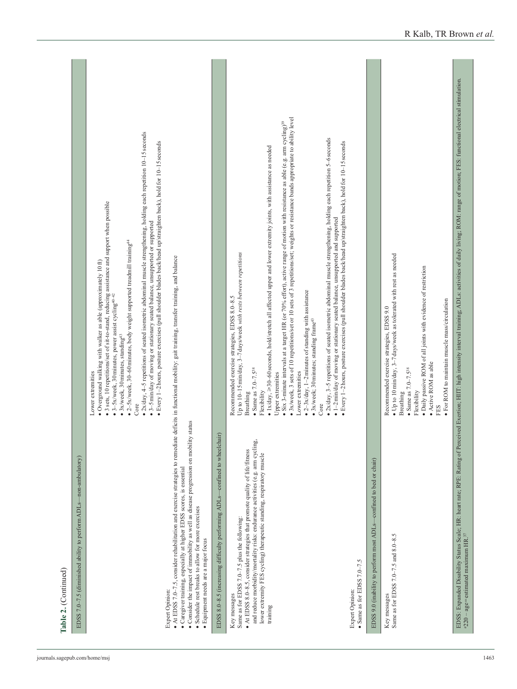|                                                                                                                                                                                                                                                                                                                                                                                                                                                 | $2x/day$ , $4-5$ repetitions of seated isometric abdominal muscle strengthening, holding each repetition 10-15 seconds<br>Every 1-2 hours, posture exercises (pull shoulder blades back/head up/straighten back), hold for 10-15 seconds<br>· 3 sets, 10 repetitions/set of sit-to-stand, reducing assistance and support when possible<br>3-5 min/day of moving or stationary seated balance, unsupported or supported<br>$\bullet$ 2–5x/week, 30–60 minutes, body weight supported treadmill training <sup>44</sup><br>· Overground walking with walker as able (approximately 10 ft)<br>• 3–5x/week, 30 minutes, power assist cycling <sup>40–42</sup><br>3x/week, 30 minutes, standing <sup>43</sup><br>Lower extremities<br>Core<br>$\bullet$                                                                                                                                                                                                             |
|-------------------------------------------------------------------------------------------------------------------------------------------------------------------------------------------------------------------------------------------------------------------------------------------------------------------------------------------------------------------------------------------------------------------------------------------------|----------------------------------------------------------------------------------------------------------------------------------------------------------------------------------------------------------------------------------------------------------------------------------------------------------------------------------------------------------------------------------------------------------------------------------------------------------------------------------------------------------------------------------------------------------------------------------------------------------------------------------------------------------------------------------------------------------------------------------------------------------------------------------------------------------------------------------------------------------------------------------------------------------------------------------------------------------------|
| • At EDSS 7.0-7.5, consider rehabilitation and exercise strategies to remediate deficits in functional mobility: gait training, transfer training, and balance<br>• Consider the impact of immobility as well as disease progression on mobility status<br>· Caregiver training, especially at higher EDSS scores, is essential<br>· Schedule rest breaks to allow for more exercises<br>· Equipment needs are a major focus<br>Expert Opinion: |                                                                                                                                                                                                                                                                                                                                                                                                                                                                                                                                                                                                                                                                                                                                                                                                                                                                                                                                                                |
| EDSS 8.0-8.5 (increasing difficulty performing ADLs-confined to wheelchair)                                                                                                                                                                                                                                                                                                                                                                     |                                                                                                                                                                                                                                                                                                                                                                                                                                                                                                                                                                                                                                                                                                                                                                                                                                                                                                                                                                |
| and reduce morbidity/mortality risks: endurance activities (e.g. arm cycling,<br>• At EDSS 8.0-8.5, consider strategies that promote quality of life/fitness<br>lower extremity FES cycling) therapeutic standing, respiratory muscle<br>Same as for EDSS 7.0-7.5 plus the following:<br>Key messages<br>training                                                                                                                               | • 3x/week, 3 sets of 10 repetitions/set or 10 sets of 3 repetitions/set; weights or resistance bands appropriate to ability level<br>• Six 3-minute intervals at a target HR (or 70% effort), active range of motion with resistance as able (e.g. arm cycling) <sup>39</sup><br>• $2x/day$ , 3-5 repetitions of seated isometric abdominal muscle strengthening, holding each repetition 5-6 seconds<br>· 1x/day, >30-60 seconds, hold/stretch all affected upper and lower extremity joints, with assistance as needed<br>1-2 min/day of moving or stationary seated balance, unsupported and supported<br>Up to 10-15 min/day, 3-7 days/week with rests between repetitions<br>• $2-3x$ day, 1-2 minutes of standing with assistance<br>Recommended exercise strategies, EDSS 8.0-8.5<br>3x/week; 30 minutes; standing frame <sup>43</sup><br>Breathing<br>● Same as 7.0–7.5 <sup>38</sup><br>Lower extremities<br>Upper extremities<br>Flexibility<br>Core |
| Expert Opinion:                                                                                                                                                                                                                                                                                                                                                                                                                                 | · Every 1-2 hours, posture exercises (pull shoulder blades back/head up/straighten back), hold for 10-15 seconds                                                                                                                                                                                                                                                                                                                                                                                                                                                                                                                                                                                                                                                                                                                                                                                                                                               |
| EDSS 9.0 (inability to perform most ADLs-confined to bed or chair)<br>$\bullet$ Same as for EDSS 7.0-7.5                                                                                                                                                                                                                                                                                                                                        |                                                                                                                                                                                                                                                                                                                                                                                                                                                                                                                                                                                                                                                                                                                                                                                                                                                                                                                                                                |
| Key messages                                                                                                                                                                                                                                                                                                                                                                                                                                    | Recommended exercise strategies, EDSS 9.0                                                                                                                                                                                                                                                                                                                                                                                                                                                                                                                                                                                                                                                                                                                                                                                                                                                                                                                      |
| Same as for EDSS 7.0-7.5 and 8.0-8.5                                                                                                                                                                                                                                                                                                                                                                                                            | • Up to 10 min/day, 3-7 days/week as tolerated with rest as needed<br>· Daily passive ROM of all joints with evidence of restriction<br>· Active ROM as able<br>$\bullet$ Same as $7.0 - 7.5$ <sup>38</sup><br>Flexibility<br>Breathing<br>FES                                                                                                                                                                                                                                                                                                                                                                                                                                                                                                                                                                                                                                                                                                                 |
|                                                                                                                                                                                                                                                                                                                                                                                                                                                 | • For ROM to maintain muscle mass/circulation                                                                                                                                                                                                                                                                                                                                                                                                                                                                                                                                                                                                                                                                                                                                                                                                                                                                                                                  |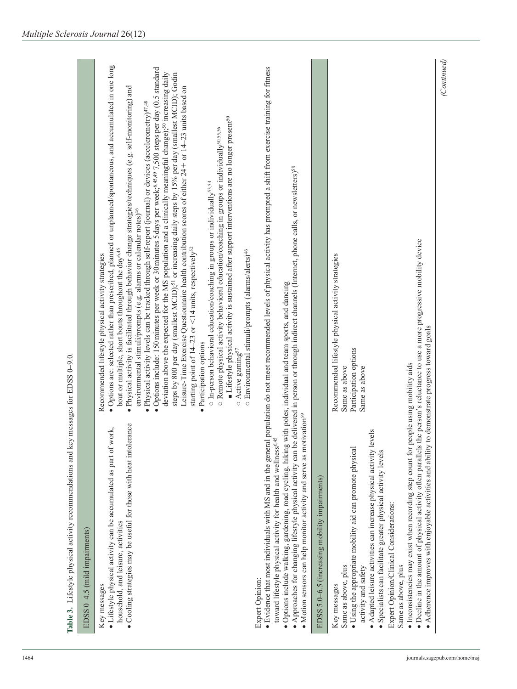| EDSS 0-4.5 (mild impairments)                                                                                                                                                                                                                                                                                                                                                                                                                                                                                                                          |                                                                                                                                                                                                                                                                                                                                                                                                                                                                                                                                                                                                                                                                                                                                                                                                                                                                                                                                                                                                                                                                                                                                                                                                                                                                                                                                                                                                                                                                                                                                                                                   |
|--------------------------------------------------------------------------------------------------------------------------------------------------------------------------------------------------------------------------------------------------------------------------------------------------------------------------------------------------------------------------------------------------------------------------------------------------------------------------------------------------------------------------------------------------------|-----------------------------------------------------------------------------------------------------------------------------------------------------------------------------------------------------------------------------------------------------------------------------------------------------------------------------------------------------------------------------------------------------------------------------------------------------------------------------------------------------------------------------------------------------------------------------------------------------------------------------------------------------------------------------------------------------------------------------------------------------------------------------------------------------------------------------------------------------------------------------------------------------------------------------------------------------------------------------------------------------------------------------------------------------------------------------------------------------------------------------------------------------------------------------------------------------------------------------------------------------------------------------------------------------------------------------------------------------------------------------------------------------------------------------------------------------------------------------------------------------------------------------------------------------------------------------------|
| · Cooling strategies may be useful for those with heat intolerance<br>• Lifestyle physical activity can be accumulated as part of work,<br>household, and leisure, activities<br>Key messages                                                                                                                                                                                                                                                                                                                                                          | · Options are: selected rather than prescribed, planned or unplanned/spontaneous, and accumulated in one long<br>• Options include: 150 minutes per week or 30 minutes 5 days per week; <sup>6,45,49</sup> 7,500 steps per day (0.5 standard<br>deviation above the expected for the MS population and a clinically meaningful change); <sup>50</sup> increasing daily<br>steps by 800 per day (smallest MCID); <sup>51</sup> or increasing daily steps by 15% per day (smallest MCID); Godin<br>Leisure-Time Exercise Questionnaire health contribution scores of either 24+ or 14-23 units based on<br>• Physical activity is facilitated through behavior change strategies/techniques (e.g. self-monitoring) and<br>• Physical activity levels can be tracked through self-report (journal) or devices (accelerometry) $^{47,48}$<br>Lifestyle physical activity is sustained after support interventions are no longer present <sup>50</sup><br>o Remote physical activity behavioral education/coaching in groups or individually <sup>50,55,56</sup><br>o In-person behavioral education/coaching in groups or individually <sup>53,54</sup><br>environmental stimuli/prompts (e.g. alarms or calendar notes) <sup>46</sup><br>starting point of 14–23 or <14 units, respectively <sup>52</sup><br>bout or multiple, short bouts throughout the day <sup>6,45</sup><br>o Environmental stimuli/prompts (alarms/alerts) <sup>46</sup><br>Recommended lifestyle physical activity strategies<br>Participation options<br>Active gaming <sup>57</sup><br>$\circ$<br>$\bullet$ |
| · Options include walking, gardening, road cycling, hiking with poles, individual and team sports, and dancing<br>· Motion sensors can help monitor activity and serve as motivation <sup>59</sup><br>toward lifestyle physical activity for health and wellness <sup>6,45</sup><br>Expert Opinion:                                                                                                                                                                                                                                                    | • Evidence that most individuals with MS and in the general population do not meet recommended levels of physical activity has prompted a shift from exercise training for fitness<br>• Approaches for changing lifestyle physical activity can be delivered in person or through indirect channels (Internet, phone calls, or newsletters) <sup>58</sup>                                                                                                                                                                                                                                                                                                                                                                                                                                                                                                                                                                                                                                                                                                                                                                                                                                                                                                                                                                                                                                                                                                                                                                                                                         |
| EDSS 5.0-6.5 (increasing mobility impairments)                                                                                                                                                                                                                                                                                                                                                                                                                                                                                                         |                                                                                                                                                                                                                                                                                                                                                                                                                                                                                                                                                                                                                                                                                                                                                                                                                                                                                                                                                                                                                                                                                                                                                                                                                                                                                                                                                                                                                                                                                                                                                                                   |
| · Inconsistencies may exist when recording step count for people using mobility aids<br>· Adapted leisure activities can increase physical activity levels<br>• Adherence improves with enjoyable activities and ability<br>• Decline in the amount of physical activity often parallels<br>· Using the appropriate mobility aid can promote physical<br>· Specialists can facilitate greater physical activity levels<br>Expert Opinion/Clinical Considerations:<br>Same as above, plus<br>Same as above, plus<br>activity and safety<br>Key messages | the person's reluctance to use a more progressive mobility device<br>Recommended lifestyle physical activity strategies<br>to demonstrate progress toward goals<br>Participation options<br>Same as above<br>Same as above                                                                                                                                                                                                                                                                                                                                                                                                                                                                                                                                                                                                                                                                                                                                                                                                                                                                                                                                                                                                                                                                                                                                                                                                                                                                                                                                                        |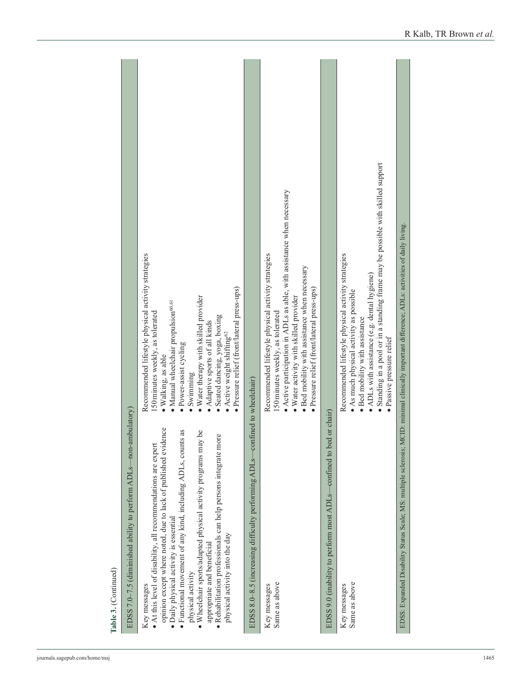| ambulatory<br>EDSS 7.0-7.5 (diminished ability to perform ADLs-non-                                                                                                                                                                                                                                                                                                                                                                                                              |                                                                                                                                                                                                                                                                                                                                                                                                     |
|----------------------------------------------------------------------------------------------------------------------------------------------------------------------------------------------------------------------------------------------------------------------------------------------------------------------------------------------------------------------------------------------------------------------------------------------------------------------------------|-----------------------------------------------------------------------------------------------------------------------------------------------------------------------------------------------------------------------------------------------------------------------------------------------------------------------------------------------------------------------------------------------------|
| opinion except where noted, due to lack of published evidence<br>· Functional movement of any kind, including ADLs, counts as<br>. Wheelchair sports/adapted physical activity programs may be<br>· Rehabilitation professionals can help persons integrate more<br>• At this level of disability, all recommendations are expert<br>· Daily physical activity is essential<br>physical activity into the day<br>appropriate and beneficial<br>physical activity<br>Key messages | Recommended lifestyle physical activity strategies<br>Pressure relief (front/lateral press-ups)<br>· Water therapy with skilled provider<br>· Manual wheelchair propulsion <sup>60,61</sup><br>150 minutes weekly, as tolerated<br>Seated dancing, yoga, boxing<br>Adaptive sports of all kinds<br>Active weight shifting <sup>62</sup><br>· Power-assist cycling<br>· Walking, as able<br>Swimming |
| EDSS 8.0-8.5 (increasing difficulty performing ADLs-                                                                                                                                                                                                                                                                                                                                                                                                                             | -confined to wheelchair)                                                                                                                                                                                                                                                                                                                                                                            |
| Same as above<br>Key messages                                                                                                                                                                                                                                                                                                                                                                                                                                                    | • Active participation in ADLs as able, with assistance when necessary<br>Recommended lifestyle physical activity strategies<br>· Bed mobility with assistance when necessary<br>· Pressure relief (front/lateral press-ups)<br>· Water activity with skilled provider<br>150 minutes weekly, as tolerated                                                                                          |
| -confined to bed or chair)<br>EDSS 9.0 (inability to perform most ADLs-                                                                                                                                                                                                                                                                                                                                                                                                          |                                                                                                                                                                                                                                                                                                                                                                                                     |
| Same as above<br>Key messages                                                                                                                                                                                                                                                                                                                                                                                                                                                    | Standing in a pool or in a standing frame may be possible with skilled support<br>Recommended lifestyle physical activity strategies<br>• ADLs with assistance (e.g. dental hygiene)<br>· As much physical activity as possible<br>· Bed mobility with assistance<br>· Passive pressure relief                                                                                                      |
| EDSS: Expanded Disability Status Scale; MS: multiple sclerosis; MCID: minimal clinically important difference; ADLs: activities of daily living.                                                                                                                                                                                                                                                                                                                                 |                                                                                                                                                                                                                                                                                                                                                                                                     |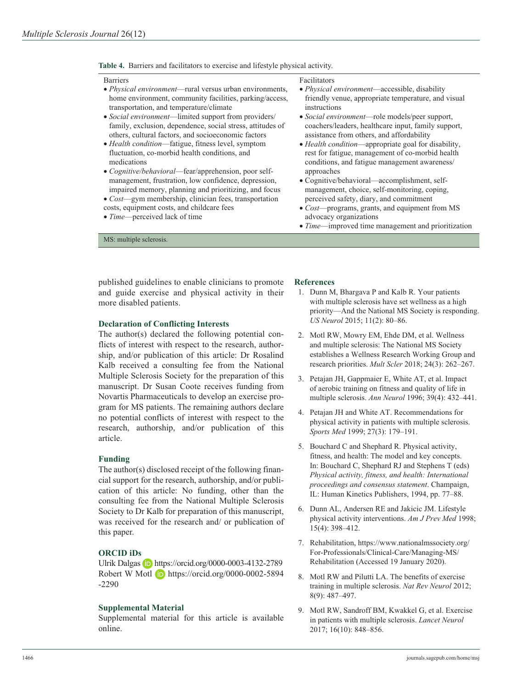#### **Table 4.** Barriers and facilitators to exercise and lifestyle physical activity.

#### Barriers

#### Facilitators

- *Physical environment*—rural versus urban environments, home environment, community facilities, parking/access, transportation, and temperature/climate
- *Social environment*—limited support from providers/ family, exclusion, dependence, social stress, attitudes of others, cultural factors, and socioeconomic factors
- *Health condition*—fatigue, fitness level, symptom fluctuation, co-morbid health conditions, and medications
- *Cognitive/behavioral*—fear/apprehension, poor selfmanagement, frustration, low confidence, depression, impaired memory, planning and prioritizing, and focus
- *Cost*—gym membership, clinician fees, transportation costs, equipment costs, and childcare fees
- *Time*—perceived lack of time

MS: multiple sclerosis.

- *Physical environment*—accessible, disability friendly venue, appropriate temperature, and visual instructions
- *Social environment*—role models/peer support, coachers/leaders, healthcare input, family support, assistance from others, and affordability
- *Health condition*—appropriate goal for disability, rest for fatigue, management of co-morbid health conditions, and fatigue management awareness/ approaches
- Cognitive/behavioral—accomplishment, selfmanagement, choice, self-monitoring, coping, perceived safety, diary, and commitment
- *Cost*—programs, grants, and equipment from MS advocacy organizations
- *Time*—improved time management and prioritization

published guidelines to enable clinicians to promote and guide exercise and physical activity in their more disabled patients.

#### **Declaration of Conflicting Interests**

The author(s) declared the following potential conflicts of interest with respect to the research, authorship, and/or publication of this article: Dr Rosalind Kalb received a consulting fee from the National Multiple Sclerosis Society for the preparation of this manuscript. Dr Susan Coote receives funding from Novartis Pharmaceuticals to develop an exercise program for MS patients. The remaining authors declare no potential conflicts of interest with respect to the research, authorship, and/or publication of this article.

#### **Funding**

The author(s) disclosed receipt of the following financial support for the research, authorship, and/or publication of this article: No funding, other than the consulting fee from the National Multiple Sclerosis Society to Dr Kalb for preparation of this manuscript, was received for the research and/ or publication of this paper.

## **ORCID iDs**

Ulrik Dalgas **iD** <https://orcid.org/0000-0003-4132-2789> Robert W Motl **b** [https://orcid.org/0000-0002-5894](https://orcid.org/0000-0002-5894-2290) [-2290](https://orcid.org/0000-0002-5894-2290)

#### **Supplemental Material**

Supplemental material for this article is available online.

## **References**

- 1. Dunn M, Bhargava P and Kalb R. Your patients with multiple sclerosis have set wellness as a high priority—And the National MS Society is responding. *US Neurol* 2015; 11(2): 80–86.
- 2. Motl RW, Mowry EM, Ehde DM, et al. Wellness and multiple sclerosis: The National MS Society establishes a Wellness Research Working Group and research priorities. *Mult Scler* 2018; 24(3): 262–267.
- 3. Petajan JH, Gappmaier E, White AT, et al. Impact of aerobic training on fitness and quality of life in multiple sclerosis. *Ann Neurol* 1996; 39(4): 432–441.
- 4. Petajan JH and White AT. Recommendations for physical activity in patients with multiple sclerosis. *Sports Med* 1999; 27(3): 179–191.
- 5. Bouchard C and Shephard R. Physical activity, fitness, and health: The model and key concepts. In: Bouchard C, Shephard RJ and Stephens T (eds) *Physical activity, fitness, and health: International proceedings and consensus statement*. Champaign, IL: Human Kinetics Publishers, 1994, pp. 77–88.
- 6. Dunn AL, Andersen RE and Jakicic JM. Lifestyle physical activity interventions. *Am J Prev Med* 1998; 15(4): 398–412.
- 7. Rehabilitation, [https://www.nationalmssociety.org/](https://www.nationalmssociety.org/For-Professionals/Clinical-Care/Managing-MS/Rehabilitation) [For-Professionals/Clinical-Care/Managing-MS/](https://www.nationalmssociety.org/For-Professionals/Clinical-Care/Managing-MS/Rehabilitation) [Rehabilitation](https://www.nationalmssociety.org/For-Professionals/Clinical-Care/Managing-MS/Rehabilitation) (Accessed 19 January 2020).
- 8. Motl RW and Pilutti LA. The benefits of exercise training in multiple sclerosis. *Nat Rev Neurol* 2012; 8(9): 487–497.
- 9. Motl RW, Sandroff BM, Kwakkel G, et al. Exercise in patients with multiple sclerosis. *Lancet Neurol* 2017; 16(10): 848–856.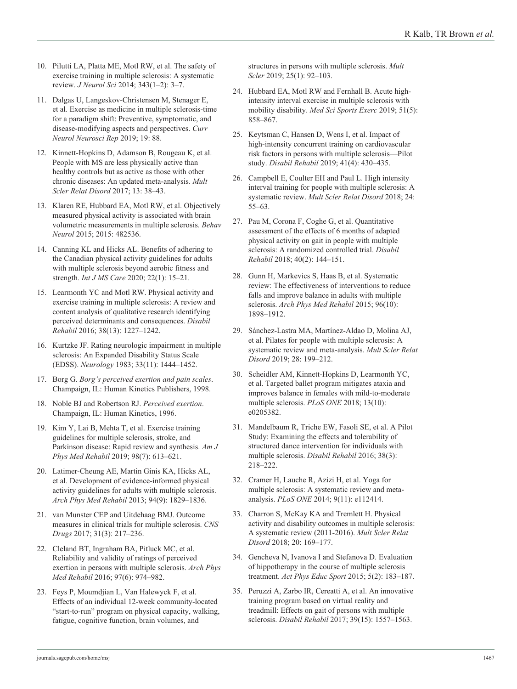- 10. Pilutti LA, Platta ME, Motl RW, et al. The safety of exercise training in multiple sclerosis: A systematic review. *J Neurol Sci* 2014; 343(1–2): 3–7.
- 11. Dalgas U, Langeskov-Christensen M, Stenager E, et al. Exercise as medicine in multiple sclerosis-time for a paradigm shift: Preventive, symptomatic, and disease-modifying aspects and perspectives. *Curr Neurol Neurosci Rep* 2019; 19: 88.
- 12. Kinnett-Hopkins D, Adamson B, Rougeau K, et al. People with MS are less physically active than healthy controls but as active as those with other chronic diseases: An updated meta-analysis. *Mult Scler Relat Disord* 2017; 13: 38–43.
- 13. Klaren RE, Hubbard EA, Motl RW, et al. Objectively measured physical activity is associated with brain volumetric measurements in multiple sclerosis. *Behav Neurol* 2015; 2015: 482536.
- 14. Canning KL and Hicks AL. Benefits of adhering to the Canadian physical activity guidelines for adults with multiple sclerosis beyond aerobic fitness and strength. *Int J MS Care* 2020; 22(1): 15–21.
- 15. Learmonth YC and Motl RW. Physical activity and exercise training in multiple sclerosis: A review and content analysis of qualitative research identifying perceived determinants and consequences. *Disabil Rehabil* 2016; 38(13): 1227–1242.
- 16. Kurtzke JF. Rating neurologic impairment in multiple sclerosis: An Expanded Disability Status Scale (EDSS). *Neurology* 1983; 33(11): 1444–1452.
- 17. Borg G. *Borg's perceived exertion and pain scales*. Champaign, IL: Human Kinetics Publishers, 1998.
- 18. Noble BJ and Robertson RJ. *Perceived exertion*. Champaign, IL: Human Kinetics, 1996.
- 19. Kim Y, Lai B, Mehta T, et al. Exercise training guidelines for multiple sclerosis, stroke, and Parkinson disease: Rapid review and synthesis. *Am J Phys Med Rehabil* 2019; 98(7): 613–621.
- 20. Latimer-Cheung AE, Martin Ginis KA, Hicks AL, et al. Development of evidence-informed physical activity guidelines for adults with multiple sclerosis. *Arch Phys Med Rehabil* 2013; 94(9): 1829–1836.
- 21. van Munster CEP and Uitdehaag BMJ. Outcome measures in clinical trials for multiple sclerosis. *CNS Drugs* 2017; 31(3): 217–236.
- 22. Cleland BT, Ingraham BA, Pitluck MC, et al. Reliability and validity of ratings of perceived exertion in persons with multiple sclerosis. *Arch Phys Med Rehabil* 2016; 97(6): 974–982.
- 23. Feys P, Moumdjian L, Van Halewyck F, et al. Effects of an individual 12-week community-located "start-to-run" program on physical capacity, walking, fatigue, cognitive function, brain volumes, and

structures in persons with multiple sclerosis. *Mult Scler* 2019; 25(1): 92–103.

- 24. Hubbard EA, Motl RW and Fernhall B. Acute highintensity interval exercise in multiple sclerosis with mobility disability. *Med Sci Sports Exerc* 2019; 51(5): 858–867.
- 25. Keytsman C, Hansen D, Wens I, et al. Impact of high-intensity concurrent training on cardiovascular risk factors in persons with multiple sclerosis—Pilot study. *Disabil Rehabil* 2019; 41(4): 430–435.
- 26. Campbell E, Coulter EH and Paul L. High intensity interval training for people with multiple sclerosis: A systematic review. *Mult Scler Relat Disord* 2018; 24: 55–63.
- 27. Pau M, Corona F, Coghe G, et al. Quantitative assessment of the effects of 6 months of adapted physical activity on gait in people with multiple sclerosis: A randomized controlled trial. *Disabil Rehabil* 2018; 40(2): 144–151.
- 28. Gunn H, Markevics S, Haas B, et al. Systematic review: The effectiveness of interventions to reduce falls and improve balance in adults with multiple sclerosis. *Arch Phys Med Rehabil* 2015; 96(10): 1898–1912.
- 29. Sánchez-Lastra MA, Martínez-Aldao D, Molina AJ, et al. Pilates for people with multiple sclerosis: A systematic review and meta-analysis. *Mult Scler Relat Disord* 2019; 28: 199–212.
- 30. Scheidler AM, Kinnett-Hopkins D, Learmonth YC, et al. Targeted ballet program mitigates ataxia and improves balance in females with mild-to-moderate multiple sclerosis. *PLoS ONE* 2018; 13(10): e0205382.
- 31. Mandelbaum R, Triche EW, Fasoli SE, et al. A Pilot Study: Examining the effects and tolerability of structured dance intervention for individuals with multiple sclerosis. *Disabil Rehabil* 2016; 38(3): 218–222.
- 32. Cramer H, Lauche R, Azizi H, et al. Yoga for multiple sclerosis: A systematic review and metaanalysis. *PLoS ONE* 2014; 9(11): e112414.
- 33. Charron S, McKay KA and Tremlett H. Physical activity and disability outcomes in multiple sclerosis: A systematic review (2011-2016). *Mult Scler Relat Disord* 2018; 20: 169–177.
- 34. Gencheva N, Ivanova I and Stefanova D. Evaluation of hippotherapy in the course of multiple sclerosis treatment. *Act Phys Educ Sport* 2015; 5(2): 183–187.
- 35. Peruzzi A, Zarbo IR, Cereatti A, et al. An innovative training program based on virtual reality and treadmill: Effects on gait of persons with multiple sclerosis. *Disabil Rehabil* 2017; 39(15): 1557–1563.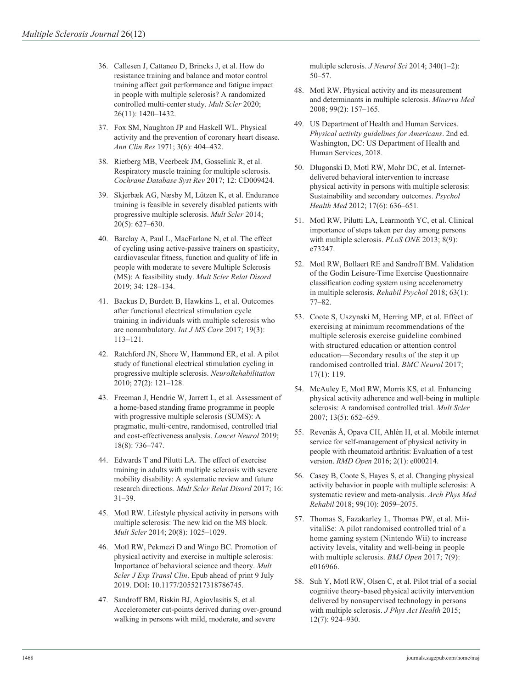- 36. Callesen J, Cattaneo D, Brincks J, et al. How do resistance training and balance and motor control training affect gait performance and fatigue impact in people with multiple sclerosis? A randomized controlled multi-center study. *Mult Scler* 2020; 26(11): 1420–1432.
- 37. Fox SM, Naughton JP and Haskell WL. Physical activity and the prevention of coronary heart disease. *Ann Clin Res* 1971; 3(6): 404–432.
- 38. Rietberg MB, Veerbeek JM, Gosselink R, et al. Respiratory muscle training for multiple sclerosis. *Cochrane Database Syst Rev* 2017; 12: CD009424.
- 39. Skjerbæk AG, Næsby M, Lützen K, et al. Endurance training is feasible in severely disabled patients with progressive multiple sclerosis. *Mult Scler* 2014; 20(5): 627–630.
- 40. Barclay A, Paul L, MacFarlane N, et al. The effect of cycling using active-passive trainers on spasticity, cardiovascular fitness, function and quality of life in people with moderate to severe Multiple Sclerosis (MS): A feasibility study. *Mult Scler Relat Disord* 2019; 34: 128–134.
- 41. Backus D, Burdett B, Hawkins L, et al. Outcomes after functional electrical stimulation cycle training in individuals with multiple sclerosis who are nonambulatory. *Int J MS Care* 2017; 19(3): 113–121.
- 42. Ratchford JN, Shore W, Hammond ER, et al. A pilot study of functional electrical stimulation cycling in progressive multiple sclerosis. *NeuroRehabilitation* 2010; 27(2): 121–128.
- 43. Freeman J, Hendrie W, Jarrett L, et al. Assessment of a home-based standing frame programme in people with progressive multiple sclerosis (SUMS): A pragmatic, multi-centre, randomised, controlled trial and cost-effectiveness analysis. *Lancet Neurol* 2019; 18(8): 736–747.
- 44. Edwards T and Pilutti LA. The effect of exercise training in adults with multiple sclerosis with severe mobility disability: A systematic review and future research directions. *Mult Scler Relat Disord* 2017; 16: 31–39.
- 45. Motl RW. Lifestyle physical activity in persons with multiple sclerosis: The new kid on the MS block. *Mult Scler* 2014; 20(8): 1025–1029.
- 46. Motl RW, Pekmezi D and Wingo BC. Promotion of physical activity and exercise in multiple sclerosis: Importance of behavioral science and theory. *Mult Scler J Exp Transl Clin*. Epub ahead of print 9 July 2019. DOI: 10.1177/2055217318786745.
- 47. Sandroff BM, Riskin BJ, Agiovlasitis S, et al. Accelerometer cut-points derived during over-ground walking in persons with mild, moderate, and severe

multiple sclerosis. *J Neurol Sci* 2014; 340(1–2): 50–57.

- 48. Motl RW. Physical activity and its measurement and determinants in multiple sclerosis. *Minerva Med* 2008; 99(2): 157–165.
- 49. US Department of Health and Human Services. *Physical activity guidelines for Americans*. 2nd ed. Washington, DC: US Department of Health and Human Services, 2018.
- 50. Dlugonski D, Motl RW, Mohr DC, et al. Internetdelivered behavioral intervention to increase physical activity in persons with multiple sclerosis: Sustainability and secondary outcomes. *Psychol Health Med* 2012; 17(6): 636–651.
- 51. Motl RW, Pilutti LA, Learmonth YC, et al. Clinical importance of steps taken per day among persons with multiple sclerosis. *PLoS ONE* 2013; 8(9): e73247.
- 52. Motl RW, Bollaert RE and Sandroff BM. Validation of the Godin Leisure-Time Exercise Questionnaire classification coding system using accelerometry in multiple sclerosis. *Rehabil Psychol* 2018; 63(1): 77–82.
- 53. Coote S, Uszynski M, Herring MP, et al. Effect of exercising at minimum recommendations of the multiple sclerosis exercise guideline combined with structured education or attention control education—Secondary results of the step it up randomised controlled trial. *BMC Neurol* 2017; 17(1): 119.
- 54. McAuley E, Motl RW, Morris KS, et al. Enhancing physical activity adherence and well-being in multiple sclerosis: A randomised controlled trial. *Mult Scler* 2007; 13(5): 652–659.
- 55. Revenäs Å, Opava CH, Ahlén H, et al. Mobile internet service for self-management of physical activity in people with rheumatoid arthritis: Evaluation of a test version. *RMD Open* 2016; 2(1): e000214.
- 56. Casey B, Coote S, Hayes S, et al. Changing physical activity behavior in people with multiple sclerosis: A systematic review and meta-analysis. *Arch Phys Med Rehabil* 2018; 99(10): 2059–2075.
- 57. Thomas S, Fazakarley L, Thomas PW, et al. MiivitaliSe: A pilot randomised controlled trial of a home gaming system (Nintendo Wii) to increase activity levels, vitality and well-being in people with multiple sclerosis. *BMJ Open* 2017; 7(9): e016966.
- 58. Suh Y, Motl RW, Olsen C, et al. Pilot trial of a social cognitive theory-based physical activity intervention delivered by nonsupervised technology in persons with multiple sclerosis. *J Phys Act Health* 2015; 12(7): 924–930.